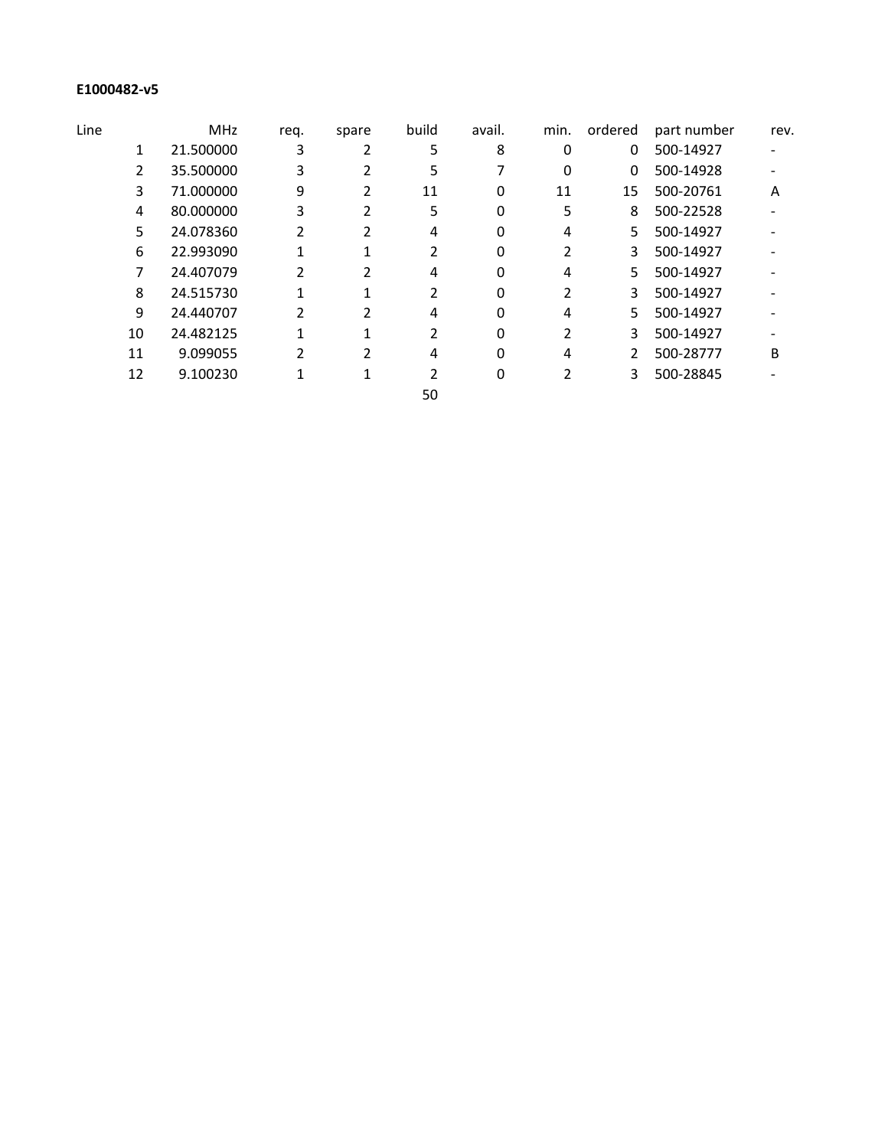## **E1000482-v5**

| Line |    | <b>MHz</b> | req. | spare | build | avail. | min. | ordered | part number | rev. |
|------|----|------------|------|-------|-------|--------|------|---------|-------------|------|
|      | 1  | 21.500000  | 3    |       | 5     | 8      | 0    | 0       | 500-14927   |      |
|      | 2  | 35.500000  | 3    |       | 5     |        | 0    | 0       | 500-14928   |      |
|      | 3  | 71.000000  | 9    | 2     | 11    | 0      | 11   | 15      | 500-20761   | A    |
|      | 4  | 80.000000  | 3    |       | 5.    | 0      | 5    | 8       | 500-22528   |      |
|      | 5  | 24.078360  | 2    |       | 4     | 0      | 4    | 5.      | 500-14927   |      |
|      | 6  | 22.993090  |      |       |       | 0      |      | 3       | 500-14927   |      |
|      | 7  | 24.407079  |      |       | 4     | 0      | 4    | 5.      | 500-14927   |      |
|      | 8  | 24.515730  |      |       |       | 0      |      | 3       | 500-14927   |      |
|      | 9  | 24.440707  | 2    |       | 4     | 0      | 4    | 5.      | 500-14927   |      |
|      | 10 | 24.482125  |      |       |       | 0      |      | 3       | 500-14927   |      |
|      | 11 | 9.099055   | 2    |       | 4     | 0      | 4    | 2       | 500-28777   | B    |
|      | 12 | 9.100230   |      |       |       | 0      |      | 3       | 500-28845   |      |
|      |    |            |      |       | 50    |        |      |         |             |      |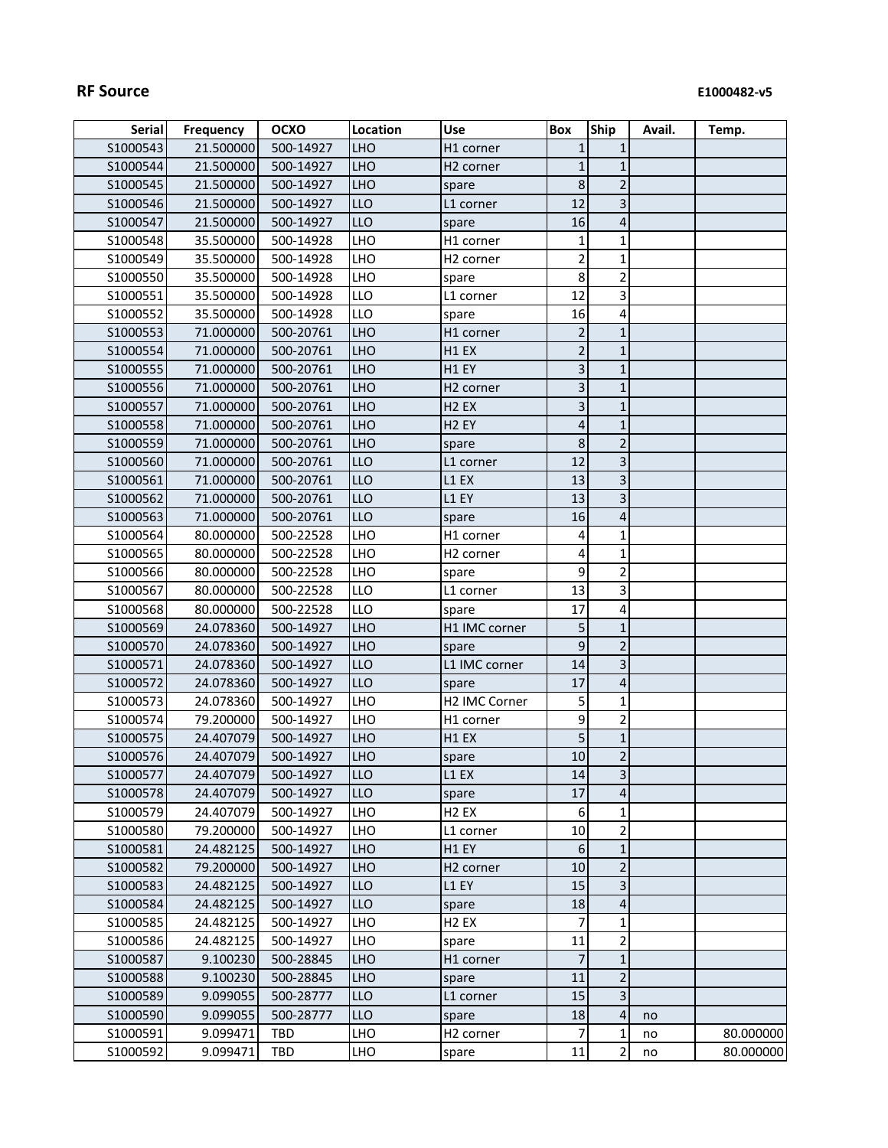| <b>Serial</b> | <b>Frequency</b> | <b>OCXO</b> | Location   | <b>Use</b>            | <b>Box</b>     | Ship                    | Avail. | Temp.     |
|---------------|------------------|-------------|------------|-----------------------|----------------|-------------------------|--------|-----------|
| S1000543      | 21.500000        | 500-14927   | <b>LHO</b> | H1 corner             | $\mathbf{1}$   | 1                       |        |           |
| S1000544      | 21.500000        | 500-14927   | <b>LHO</b> | H <sub>2</sub> corner | $\mathbf{1}$   | $\mathbf 1$             |        |           |
| S1000545      | 21.500000        | 500-14927   | <b>LHO</b> | spare                 | 8              | $\mathbf 2$             |        |           |
| S1000546      | 21.500000        | 500-14927   | LLO        | L1 corner             | 12             | 3                       |        |           |
| S1000547      | 21.500000        | 500-14927   | LLO        | spare                 | 16             | 4                       |        |           |
| S1000548      | 35.500000        | 500-14928   | LHO        | H1 corner             | 1              | $\mathbf 1$             |        |           |
| S1000549      | 35.500000        | 500-14928   | LHO        | H <sub>2</sub> corner | $\overline{2}$ | $\mathbf 1$             |        |           |
| S1000550      | 35.500000        | 500-14928   | LHO        | spare                 | 8              | $\overline{\mathbf{c}}$ |        |           |
| S1000551      | 35.500000        | 500-14928   | LLO        | L1 corner             | 12             | 3                       |        |           |
| S1000552      | 35.500000        | 500-14928   | LLO        | spare                 | 16             | 4                       |        |           |
| S1000553      | 71.000000        | 500-20761   | <b>LHO</b> | H1 corner             | $\overline{2}$ | $\mathbf{1}$            |        |           |
| S1000554      | 71.000000        | 500-20761   | <b>LHO</b> | H <sub>1</sub> EX     | $\overline{2}$ | $\mathbf 1$             |        |           |
| S1000555      | 71.000000        | 500-20761   | <b>LHO</b> | H1 EY                 | 3              | 1                       |        |           |
| S1000556      | 71.000000        | 500-20761   | <b>LHO</b> | H <sub>2</sub> corner | $\mathbf{3}$   | $\mathbf 1$             |        |           |
| S1000557      | 71.000000        | 500-20761   | <b>LHO</b> | H <sub>2</sub> EX     | 3              | $\mathbf 1$             |        |           |
| S1000558      | 71.000000        | 500-20761   | <b>LHO</b> | H <sub>2</sub> EY     | 4              | $\mathbf 1$             |        |           |
| S1000559      | 71.000000        | 500-20761   | <b>LHO</b> | spare                 | 8              | $\overline{2}$          |        |           |
| \$1000560     | 71.000000        | 500-20761   | <b>LLO</b> | L1 corner             | 12             | $\overline{\mathbf{3}}$ |        |           |
| S1000561      | 71.000000        | 500-20761   | <b>LLO</b> | L1 EX                 | 13             | $\overline{\mathbf{3}}$ |        |           |
| S1000562      | 71.000000        | 500-20761   | <b>LLO</b> | L1 EY                 | 13             | 3                       |        |           |
| S1000563      | 71.000000        | 500-20761   | LLO        | spare                 | 16             | $\overline{4}$          |        |           |
| S1000564      | 80.000000        | 500-22528   | LHO        | H1 corner             | 4              | 1                       |        |           |
| S1000565      | 80.000000        | 500-22528   | LHO        | H <sub>2</sub> corner | 4              | 1                       |        |           |
| S1000566      | 80.000000        | 500-22528   | LHO        | spare                 | 9              | $\mathbf 2$             |        |           |
| S1000567      | 80.000000        | 500-22528   | LLO        | L1 corner             | 13             | 3                       |        |           |
| \$1000568     | 80.000000        | 500-22528   | LLO        | spare                 | 17             | 4                       |        |           |
| S1000569      | 24.078360        | 500-14927   | <b>LHO</b> | H1 IMC corner         | 5              | $\mathbf 1$             |        |           |
| S1000570      | 24.078360        | 500-14927   | <b>LHO</b> | spare                 | 9              | $\mathbf 2$             |        |           |
| S1000571      | 24.078360        | 500-14927   | LLO        | L1 IMC corner         | 14             | 3                       |        |           |
| S1000572      | 24.078360        | 500-14927   | LLO        | spare                 | 17             | $\sqrt{4}$              |        |           |
| S1000573      | 24.078360        | 500-14927   | LHO        | H2 IMC Corner         | 5              | 1                       |        |           |
| S1000574      | 79.200000        | 500-14927   | LHO        | H1 corner             | 9              | $\overline{2}$          |        |           |
| S1000575      | 24.407079        | 500-14927   | <b>LHO</b> | H1 EX                 | 5              | $\mathbf 1$             |        |           |
| S1000576      | 24.407079        | 500-14927   | <b>LHO</b> | spare                 | 10             | $\overline{2}$          |        |           |
| S1000577      | 24.407079        | 500-14927   | <b>LLO</b> | L1 EX                 | 14             | $\mathbf{3}$            |        |           |
| S1000578      | 24.407079        | 500-14927   | <b>LLO</b> | spare                 | 17             | 4                       |        |           |
| S1000579      | 24.407079        | 500-14927   | <b>LHO</b> | H <sub>2</sub> EX     | 6              | $\mathbf 1$             |        |           |
| S1000580      | 79.200000        | 500-14927   | LHO        | L1 corner             | 10             | $\overline{2}$          |        |           |
| \$1000581     | 24.482125        | 500-14927   | <b>LHO</b> | H1 EY                 | 6              | $\mathbf{1}$            |        |           |
| S1000582      | 79.200000        | 500-14927   | <b>LHO</b> | H <sub>2</sub> corner | 10             | $\mathbf 2$             |        |           |
| S1000583      | 24.482125        | 500-14927   | LLO        | L1 EY                 | 15             | $\overline{\mathbf{3}}$ |        |           |
| \$1000584     | 24.482125        | 500-14927   | <b>LLO</b> | spare                 | 18             | 4                       |        |           |
| \$1000585     | 24.482125        | 500-14927   | LHO        | H <sub>2</sub> EX     | 7              | 1                       |        |           |
| S1000586      | 24.482125        | 500-14927   | <b>LHO</b> | spare                 | 11             | 2                       |        |           |
| S1000587      | 9.100230         | 500-28845   | <b>LHO</b> | H1 corner             | $\overline{7}$ | $\mathbf{1}$            |        |           |
| S1000588      | 9.100230         | 500-28845   | <b>LHO</b> | spare                 | 11             | $\overline{2}$          |        |           |
| S1000589      | 9.099055         | 500-28777   | <b>LLO</b> | L1 corner             | 15             | 3                       |        |           |
| S1000590      | 9.099055         | 500-28777   | LLO        | spare                 | 18             | 4                       | no     |           |
| S1000591      | 9.099471         | <b>TBD</b>  | <b>LHO</b> | H <sub>2</sub> corner | 7              | 1                       | no     | 80.000000 |
| S1000592      | 9.099471         | TBD         | LHO        | spare                 | 11             | $\overline{2}$          | no     | 80.000000 |